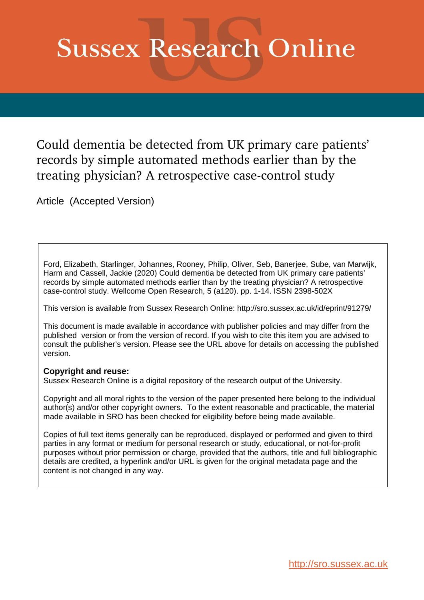# **Sussex Research Online**

Could dementia be detected from UK primary care patients' records by simple automated methods earlier than by the treating physician? A retrospective case-control study

Article (Accepted Version)

Ford, Elizabeth, Starlinger, Johannes, Rooney, Philip, Oliver, Seb, Banerjee, Sube, van Marwijk, Harm and Cassell, Jackie (2020) Could dementia be detected from UK primary care patients' records by simple automated methods earlier than by the treating physician? A retrospective case-control study. Wellcome Open Research, 5 (a120). pp. 1-14. ISSN 2398-502X

This version is available from Sussex Research Online: http://sro.sussex.ac.uk/id/eprint/91279/

This document is made available in accordance with publisher policies and may differ from the published version or from the version of record. If you wish to cite this item you are advised to consult the publisher's version. Please see the URL above for details on accessing the published version.

### **Copyright and reuse:**

Sussex Research Online is a digital repository of the research output of the University.

Copyright and all moral rights to the version of the paper presented here belong to the individual author(s) and/or other copyright owners. To the extent reasonable and practicable, the material made available in SRO has been checked for eligibility before being made available.

Copies of full text items generally can be reproduced, displayed or performed and given to third parties in any format or medium for personal research or study, educational, or not-for-profit purposes without prior permission or charge, provided that the authors, title and full bibliographic details are credited, a hyperlink and/or URL is given for the original metadata page and the content is not changed in any way.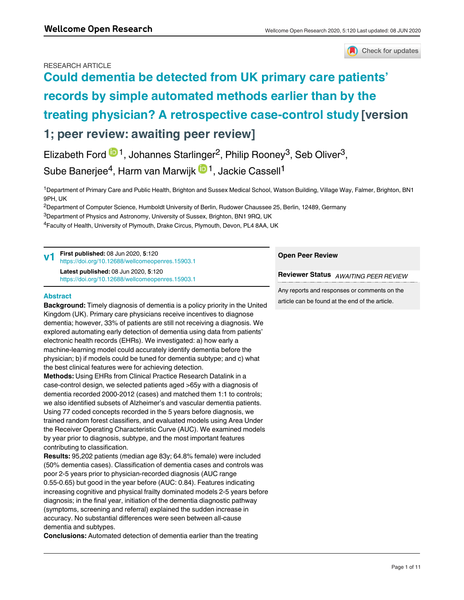#### RESEARCH ARTICLE



## **[Could dementia be detected from UK primary care patients'](https://wellcomeopenresearch.org/articles/5-120/v1) [records by simple automated methods earlier than by the](https://wellcomeopenresearch.org/articles/5-120/v1) [treating physician? A retrospective case-control study](https://wellcomeopenresearch.org/articles/5-120/v1) [version 1; peer review: awaiting peer review]**

Elizabeth Ford  $\mathbb{D}^1$ , Johannes Starlinger<sup>2</sup>, Philip Rooney<sup>3</sup>, Seb Oliver<sup>3</sup>,

Sube Banerjee<sup>4</sup>, Harm van Marwijk <sup>in 1</sup>, Jackie Cassell<sup>1</sup>

<sup>1</sup>Department of Primary Care and Public Health, Brighton and Sussex Medical School, Watson Building, Village Way, Falmer, Brighton, BN1 9PH, UK

<sup>2</sup>Department of Computer Science, Humboldt University of Berlin, Rudower Chaussee 25, Berlin, 12489, Germany

 ${}^{3}$ Department of Physics and Astronomy, University of Sussex, Brighton, BN1 9RQ, UK

<sup>4</sup>Faculty of Health, University of Plymouth, Drake Circus, Plymouth, Devon, PL4 8AA, UK

| First published: 08 Jun 2020, 5:120<br>https://doi.org/10.12688/wellcomeopenres.15903.1                                                    | <b>Open Peer Review</b>                                                                         |  |  |
|--------------------------------------------------------------------------------------------------------------------------------------------|-------------------------------------------------------------------------------------------------|--|--|
| Latest published: 08 Jun 2020, 5:120<br>https://doi.org/10.12688/wellcomeopenres.15903.1                                                   | Reviewer Status AWAITING PEER REVIEW                                                            |  |  |
| <b>Abstract</b><br>the contract of the contract of the contract of the contract of the contract of the contract of the contract of<br>____ | Any reports and responses or comments on the<br>article can be found at the end of the article. |  |  |

**Background:** Timely diagnosis of dementia is a policy priority in the United Kingdom (UK). Primary care physicians receive incentives to diagnose dementia; however, 33% of patients are still not receiving a diagnosis. We explored automating early detection of dementia using data from patients' electronic health records (EHRs). We investigated: a) how early a machine-learning model could accurately identify dementia before the physician; b) if models could be tuned for dementia subtype; and c) what the best clinical features were for achieving detection.

**Methods:** Using EHRs from Clinical Practice Research Datalink in a case-control design, we selected patients aged >65y with a diagnosis of dementia recorded 2000-2012 (cases) and matched them 1:1 to controls; we also identified subsets of Alzheimer's and vascular dementia patients. Using 77 coded concepts recorded in the 5 years before diagnosis, we trained random forest classifiers, and evaluated models using Area Under the Receiver Operating Characteristic Curve (AUC). We examined models by year prior to diagnosis, subtype, and the most important features contributing to classification.

**Results:** 95,202 patients (median age 83y; 64.8% female) were included (50% dementia cases). Classification of dementia cases and controls was poor 2-5 years prior to physician-recorded diagnosis (AUC range 0.55-0.65) but good in the year before (AUC: 0.84). Features indicating increasing cognitive and physical frailty dominated models 2-5 years before diagnosis; in the final year, initiation of the dementia diagnostic pathway (symptoms, screening and referral) explained the sudden increase in accuracy. No substantial differences were seen between all-cause dementia and subtypes.

**Conclusions:** Automated detection of dementia earlier than the treating

physician may be problematic, if using only primary care data. Future work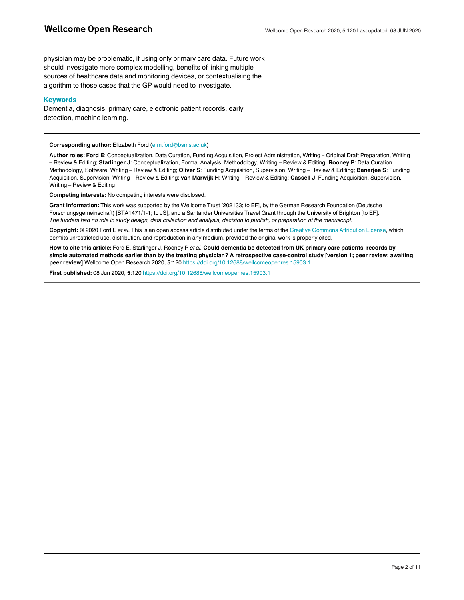physician may be problematic, if using only primary care data. Future work should investigate more complex modelling, benefits of linking multiple sources of healthcare data and monitoring devices, or contextualising the algorithm to those cases that the GP would need to investigate.

#### **Keywords**

Dementia, diagnosis, primary care, electronic patient records, early detection, machine learning.

#### **Corresponding author:** Elizabeth Ford (e.m.ford@bsms.ac.uk)

**Author roles: Ford E**: Conceptualization, Data Curation, Funding Acquisition, Project Administration, Writing – Original Draft Preparation, Writing – Review & Editing; **Starlinger J**: Conceptualization, Formal Analysis, Methodology, Writing – Review & Editing; **Rooney P**: Data Curation, Methodology, Software, Writing – Review & Editing; **Oliver S**: Funding Acquisition, Supervision, Writing – Review & Editing; **Banerjee S**: Funding Acquisition, Supervision, Writing – Review & Editing; **van Marwijk H**: Writing – Review & Editing; **Cassell J**: Funding Acquisition, Supervision, Writing – Review & Editing

**Competing interests:** No competing interests were disclosed.

**Grant information:** This work was supported by the Wellcome Trust [202133; to EF], by the German Research Foundation (Deutsche Forschungsgemeinschaft) [STA1471/1-1; to JS], and a Santander Universities Travel Grant through the University of Brighton [to EF]. *The funders had no role in study design, data collection and analysis, decision to publish, or preparation of the manuscript.*

**Copyright:** © 2020 Ford E *et al*. This is an open access article distributed under the terms of the [Creative Commons Attribution License](http://creativecommons.org/licenses/by/4.0/), which permits unrestricted use, distribution, and reproduction in any medium, provided the original work is properly cited.

**How to cite this article:** Ford E, Starlinger J, Rooney P *et al.* **Could dementia be detected from UK primary care patients' records by simple automated methods earlier than by the treating physician? A retrospective case-control study [version 1; peer review: awaiting peer review]** Wellcome Open Research 2020, **5**:120 <https://doi.org/10.12688/wellcomeopenres.15903.1>

**First published:** 08 Jun 2020, **5**:120 <https://doi.org/10.12688/wellcomeopenres.15903.1>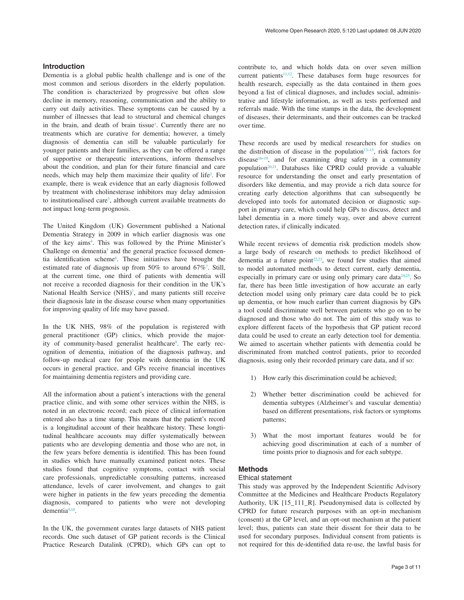#### **Introduction**

Dementia is a global public health challenge and is one of the most common and serious disorders in the elderly population. The condition is characterized by progressive but often slow decline in memory, reasoning, communication and the ability to carry out daily activities. These symptoms can be caused by a number of illnesses that lead to structural and chemical changes in the brain, and death of brain tissue<sup>[1](#page-10-0)</sup>. Currently there are no treatments which are curative for dementia; however, a timely diagnosis of dementia can still be valuable particularly for younger patients and their families, as they can be offered a range of supportive or therapeutic interventions, inform themselves about the condition, and plan for their future financial and care needs, which may help them maximize their quality of life<sup>2</sup>. For example, there is weak evidence that an early diagnosis followed by treatment with cholinesterase inhibitors may delay admission to institutionalised care<sup>3</sup>, although current available treatments do not impact long-term prognosis.

The United Kingdom (UK) Government published a National Dementia Strategy in 2009 in which earlier diagnosis was one of the key aims<sup>4</sup>. This was followed by the Prime Minister's Challenge on dementia<sup>5</sup> and the general practice focussed demen-tia identification scheme<sup>[6](#page-11-0)</sup>. These initiatives have brought the estimated rate of diagnosis up from  $50\%$  to around  $67\%$  $67\%$  $67\%$ <sup>7</sup>. Still, at the current time, one third of patients with dementia will not receive a recorded diagnosis for their condition in the UK's National Health Service (NHS)<sup>[7](#page-11-0)</sup>, and many patients still receive their diagnosis late in the disease course when many opportunities for improving quality of life may have passed.

In the UK NHS, 98% of the population is registered with general practitioner (GP) clinics, which provide the majority of community-based generalist healthcare<sup>8</sup>. The early recognition of dementia, initiation of the diagnosis pathway, and follow-up medical care for people with dementia in the UK occurs in general practice, and GPs receive financial incentives for maintaining dementia registers and providing care.

All the information about a patient's interactions with the general practice clinic, and with some other services within the NHS, is noted in an electronic record; each piece of clinical information entered also has a time stamp. This means that the patient's record is a longitudinal account of their healthcare history. These longtitudinal healthcare accounts may differ systematically between patients who are developing dementia and those who are not, in the few years before dementia is identified. This has been found in studies which have manually examined patient notes. These studies found that cognitive symptoms, contact with social care professionals, unpredictable consulting patterns, increased attendance, levels of carer involvement, and changes to gait were higher in patients in the few years preceding the dementia diagnosis, compared to patients who were not developing dementia[9,10.](#page-11-0)

In the UK, the government curates large datasets of NHS patient records. One such dataset of GP patient records is the Clinical Practice Research Datalink (CPRD), which GPs can opt to

contribute to, and which holds data on over seven million current patients<sup>[11,12](#page-11-0)</sup>. These databases form huge resources for health research, especially as the data contained in them goes beyond a list of clinical diagnoses, and includes social, administrative and lifestyle information, as well as tests performed and referrals made. With the time stamps in the data, the development of diseases, their determinants, and their outcomes can be tracked over time.

These records are used by medical researchers for studies on the distribution of disease in the population<sup>13–15</sup>, risk factors for disease<sup>16–19</sup>, and for examining drug safety in a community population<sup>20,21</sup>. Databases like CPRD could provide a valuable resource for understanding the onset and early presentation of disorders like dementia, and may provide a rich data source for creating early detection algorithms that can subsequently be developed into tools for automated decision or diagnostic support in primary care, which could help GPs to discuss, detect and label dementia in a more timely way, over and above current detection rates, if clinically indicated.

While recent reviews of dementia risk prediction models show a large body of research on methods to predict likelihood of dementia at a future point $22,23$ , we found few studies that aimed to model automated methods to detect current, early dementia, especially in primary care or using only primary care data<sup>24,25</sup>. So far, there has been little investigation of how accurate an early detection model using only primary care data could be to pick up dementia, or how much earlier than current diagnosis by GPs a tool could discriminate well between patients who go on to be diagnosed and those who do not. The aim of this study was to explore different facets of the hypothesis that GP patient record data could be used to create an early detection tool for dementia. We aimed to ascertain whether patients with dementia could be discriminated from matched control patients, prior to recorded diagnosis, using only their recorded primary care data, and if so:

- 1) How early this discrimination could be achieved;
- 2) Whether better discrimination could be achieved for dementia subtypes (Alzheimer's and vascular dementia) based on different presentations, risk factors or symptoms patterns;
- 3) What the most important features would be for achieving good discrimination at each of a number of time points prior to diagnosis and for each subtype.

#### **Methods**

#### Ethical statement

This study was approved by the Independent Scientific Advisory Committee at the Medicines and Healthcare Products Regulatory Authority, UK [15\_111\_R]. Pseudonymised data is collected by CPRD for future research purposes with an opt-in mechanism (consent) at the GP level, and an opt-out mechanism at the patient level; thus, patients can state their dissent for their data to be used for secondary purposes. Individual consent from patients is not required for this de-identified data re-use, the lawful basis for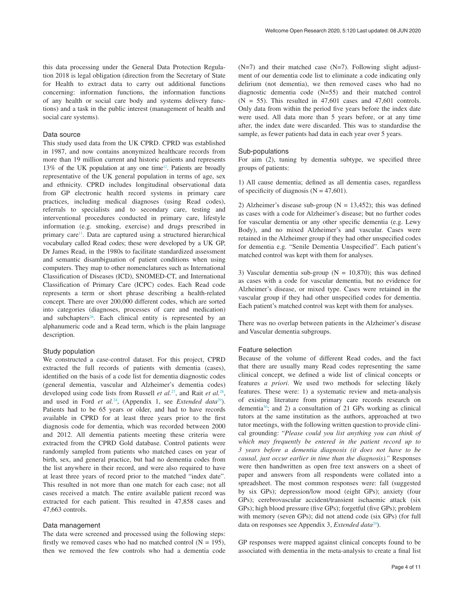this data processing under the General Data Protection Regulation 2018 is legal obligation (direction from the Secretary of State for Health to extract data to carry out additional functions concerning: information functions, the information functions of any health or social care body and systems delivery functions) and a task in the public interest (management of health and social care systems).

#### Data source

This study used data from the UK CPRD. CPRD was established in 1987, and now contains anonymized healthcare records from more than 19 million current and historic patients and represents 13% of the UK population at any one time<sup>12</sup>. Patients are broadly representative of the UK general population in terms of age, sex and ethnicity. CPRD includes longitudinal observational data from GP electronic health record systems in primary care practices, including medical diagnoses (using Read codes), referrals to specialists and to secondary care, testing and interventional procedures conducted in primary care, lifestyle information (e.g. smoking, exercise) and drugs prescribed in primary care<sup>[11](#page-11-0)</sup>. Data are captured using a structured hierarchical vocabulary called Read codes; these were developed by a UK GP, Dr James Read, in the 1980s to facilitate standardized assessment and semantic disambiguation of patient conditions when using computers. They map to other nomenclatures such as International Classification of Diseases (ICD), SNOMED-CT, and International Classification of Primary Care (ICPC) codes. Each Read code represents a term or short phrase describing a health-related concept. There are over 200,000 different codes, which are sorted into categories (diagnoses, processes of care and medication) and subchapters<sup>26</sup>. Each clinical entity is represented by an alphanumeric code and a Read term, which is the plain language description.

#### Study population

We constructed a case-control dataset. For this project, CPRD extracted the full records of patients with dementia (cases), identified on the basis of a code list for dementia diagnostic codes (general dementia, vascular and Alzheimer's dementia codes) developed using code lists from Russell *et al.*[27](#page-11-0), and Rait *et al.*[28](#page-11-0), and used in Ford *et al.*<sup>24</sup>, (Appendix 1, see *Extended data*<sup>[29](#page-11-0)</sup>). Patients had to be 65 years or older, and had to have records available in CPRD for at least three years prior to the first diagnosis code for dementia, which was recorded between 2000 and 2012. All dementia patients meeting these criteria were extracted from the CPRD Gold database. Control patients were randomly sampled from patients who matched cases on year of birth, sex, and general practice, but had no dementia codes from the list anywhere in their record, and were also required to have at least three years of record prior to the matched "index date". This resulted in not more than one match for each case; not all cases received a match. The entire available patient record was extracted for each patient. This resulted in 47,858 cases and 47,663 controls.

#### Data management

The data were screened and processed using the following steps: firstly we removed cases who had no matched control  $(N = 195)$ , then we removed the few controls who had a dementia code

 $(N=7)$  and their matched case  $(N=7)$ . Following slight adjustment of our dementia code list to eliminate a code indicating only delirium (not dementia), we then removed cases who had no diagnostic dementia code (N=55) and their matched control  $(N = 55)$ . This resulted in 47,601 cases and 47,601 controls. Only data from within the period five years before the index date were used. All data more than 5 years before, or at any time after, the index date were discarded. This was to standardise the sample, as fewer patients had data in each year over 5 years.

#### Sub-populations

For aim (2), tuning by dementia subtype, we specified three groups of patients:

1) All cause dementia; defined as all dementia cases, regardless of specificity of diagnosis ( $N = 47,601$ ).

2) Alzheimer's disease sub-group ( $N = 13,452$ ); this was defined as cases with a code for Alzheimer's disease; but no further codes for vascular dementia or any other specific dementia (e.g. Lewy Body), and no mixed Alzheimer's and vascular. Cases were retained in the Alzheimer group if they had other unspecified codes for dementia e.g. "Senile Dementia Unspecified". Each patient's matched control was kept with them for analyses.

3) Vascular dementia sub-group ( $N = 10,870$ ); this was defined as cases with a code for vascular dementia, but no evidence for Alzheimer's disease, or mixed type. Cases were retained in the vascular group if they had other unspecified codes for dementia. Each patient's matched control was kept with them for analyses.

There was no overlap between patients in the Alzheimer's disease and Vascular dementia subgroups.

#### Feature selection

Because of the volume of different Read codes, and the fact that there are usually many Read codes representing the same clinical concept, we defined a wide list of clinical concepts or features *a priori*. We used two methods for selecting likely features. These were: 1) a systematic review and meta-analysis of existing literature from primary care records research on dementia[30;](#page-11-0) and 2) a consultation of 21 GPs working as clinical tutors at the same institution as the authors, approached at two tutor meetings, with the following written question to provide clinical grounding: "*Please could you list anything you can think of which may frequently be entered in the patient record up to 3 years before a dementia diagnosis (it does not have to be causal, just occur earlier in time than the diagnosis)."* Responses were then handwritten as open free text answers on a sheet of paper and answers from all respondents were collated into a spreadsheet. The most common responses were: fall (suggested by six GPs); depression/low mood (eight GPs); anxiety (four GPs); cerebrovascular accident/transient ischaemic attack (six GPs); high blood pressure (five GPs); forgetful (five GPs); problem with memory (seven GPs); did not attend code (six GPs) (for full data on responses see Appendix 3, *Extended data*<sup>[29](#page-11-0)</sup>).

GP responses were mapped against clinical concepts found to be associated with dementia in the meta-analysis to create a final list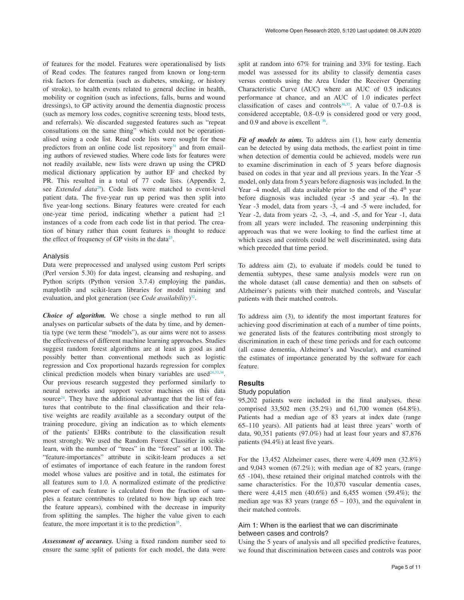of features for the model. Features were operationalised by lists of Read codes. The features ranged from known or long-term risk factors for dementia (such as diabetes, smoking, or history of stroke), to health events related to general decline in health, mobility or cognition (such as infections, falls, burns and wound dressings), to GP activity around the dementia diagnostic process (such as memory loss codes, cognitive screening tests, blood tests, and referrals). We discarded suggested features such as "repeat consultations on the same thing" which could not be operationalised using a code list. Read code lists were sought for these predictors from an online code list repository $31$  and from emailing authors of reviewed studies. Where code lists for features were not readily available, new lists were drawn up using the CPRD medical dictionary application by author EF and checked by PR. This resulted in a total of 77 code lists. (Appendix 2, see *Extended data*[29](#page-11-0)). Code lists were matched to event-level patient data. The five-year run up period was then split into five year-long sections. Binary features were created for each one-year time period, indicating whether a patient had  $\geq 1$ instances of a code from each code list in that period. The creation of binary rather than count features is thought to reduce the effect of frequency of GP visits in the data $25$ .

#### Analysis

Data were preprocessed and analysed using custom Perl scripts (Perl version 5.30) for data ingest, cleansing and reshaping, and Python scripts (Python version 3.7.4) employing the pandas, matplotlib and scikit-learn libraries for model training and evaluation, and plot generation (see *Code availability*) [32](#page-11-0).

*Choice of algorithm.* We chose a single method to run all analyses on particular subsets of the data by time, and by dementia type (we term these "models"), as our aims were not to assess the effectiveness of different machine learning approaches. Studies suggest random forest algorithms are at least as good as and possibly better than conventional methods such as logistic regression and Cox proportional hazards regression for complex clinical prediction models when binary variables are used<sup> $24,33,34$  $24,33,34$ </sup>. Our previous research suggested they performed similarly to neural networks and support vector machines on this data source<sup>24</sup>. They have the additional advantage that the list of features that contribute to the final classification and their relative weights are readily available as a secondary output of the training procedure, giving an indication as to which elements of the patients' EHRs contribute to the classification result most strongly. We used the Random Forest Classifier in scikitlearn, with the number of "trees" in the "forest" set at 100. The "feature-importances" attribute in scikit-learn produces a set of estimates of importance of each feature in the random forest model whose values are positive and in total, the estimates for all features sum to 1.0. A normalized estimate of the predictive power of each feature is calculated from the fraction of samples a feature contributes to (related to how high up each tree the feature appears), combined with the decrease in impurity from splitting the samples. The higher the value given to each feature, the more important it is to the prediction<sup>[35](#page-11-0)</sup>.

*Assessment of accuracy.* Using a fixed random number seed to ensure the same split of patients for each model, the data were

split at random into 67% for training and 33% for testing. Each model was assessed for its ability to classify dementia cases versus controls using the Area Under the Receiver Operating Characteristic Curve (AUC) where an AUC of 0.5 indicates performance at chance, and an AUC of 1.0 indicates perfect classification of cases and controls<sup>36,37</sup>. A value of  $0.7-0.8$  is considered acceptable, 0.8–0.9 is considered good or very good, and 0.9 and above is excellent [36](#page-11-0).

*Fit of models to aims.* To address aim (1), how early dementia can be detected by using data methods, the earliest point in time when detection of dementia could be achieved, models were run to examine discrimination in each of 5 years before diagnosis based on codes in that year and all previous years. In the Year -5 model, only data from 5 years before diagnosis was included. In the Year  $-4$  model, all data available prior to the end of the  $4<sup>th</sup>$  year before diagnosis was included (year -5 and year -4). In the Year -3 model, data from years -3, -4 and -5 were included, for Year -2, data from years -2, -3, -4, and -5, and for Year -1, data from all years were included. The reasoning underpinning this approach was that we were looking to find the earliest time at which cases and controls could be well discriminated, using data which preceded that time period.

To address aim (2), to evaluate if models could be tuned to dementia subtypes, these same analysis models were run on the whole dataset (all cause dementia) and then on subsets of Alzheimer's patients with their matched controls, and Vascular patients with their matched controls.

To address aim (3), to identify the most important features for achieving good discrimination at each of a number of time points, we generated lists of the features contributing most strongly to discrimination in each of these time periods and for each outcome (all cause dementia, Alzheimer's and Vascular), and examined the estimates of importance generated by the software for each feature.

#### **Results**

#### Study population

95,202 patients were included in the final analyses, these comprised 33,502 men (35.2%) and 61,700 women (64.8%). Patients had a median age of 83 years at index date (range 65–110 years). All patients had at least three years' worth of data, 90,351 patients (97.0%) had at least four years and 87,876 patients (94.4%) at least five years.

For the 13,452 Alzheimer cases, there were 4,409 men (32.8%) and 9,043 women (67.2%); with median age of 82 years, (range 65 -104), these retained their original matched controls with the same characteristics. For the 10,870 vascular dementia cases, there were 4,415 men (40.6%) and 6,455 women (59.4%); the median age was 83 years (range  $65 - 103$ ), and the equivalent in their matched controls.

#### Aim 1: When is the earliest that we can discriminate between cases and controls?

Using the 5 years of analysis and all specified predictive features, we found that discrimination between cases and controls was poor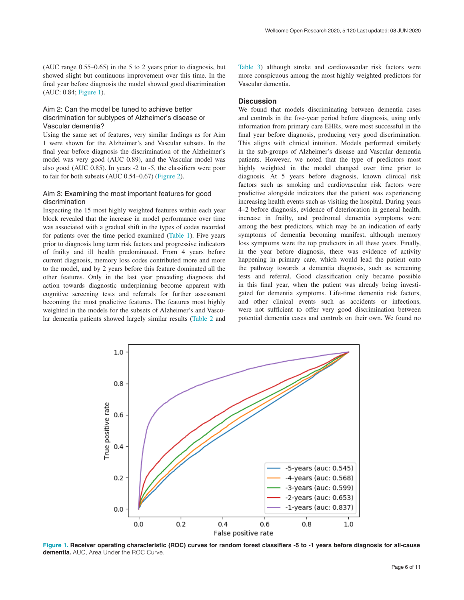(AUC range 0.55–0.65) in the 5 to 2 years prior to diagnosis, but showed slight but continuous improvement over this time. In the final year before diagnosis the model showed good discrimination (AUC: 0.84; Figure 1).

#### Aim 2: Can the model be tuned to achieve better discrimination for subtypes of Alzheimer's disease or Vascular dementia?

Using the same set of features, very similar findings as for Aim 1 were shown for the Alzheimer's and Vascular subsets. In the final year before diagnosis the discrimination of the Alzheimer's model was very good (AUC 0.89), and the Vascular model was also good (AUC 0.85). In years -2 to -5, the classifiers were poor to fair for both subsets (AUC 0.54–0.67) ([Figure 2](#page-7-0)).

#### Aim 3: Examining the most important features for good discrimination

Inspecting the 15 most highly weighted features within each year block revealed that the increase in model performance over time was associated with a gradual shift in the types of codes recorded for patients over the time period examined [\(Table 1\)](#page-7-0). Five years prior to diagnosis long term risk factors and progressive indicators of frailty and ill health predominated. From 4 years before current diagnosis, memory loss codes contributed more and more to the model, and by 2 years before this feature dominated all the other features. Only in the last year preceding diagnosis did action towards diagnostic underpinning become apparent with cognitive screening tests and referrals for further assessment becoming the most predictive features. The features most highly weighted in the models for the subsets of Alzheimer's and Vascular dementia patients showed largely similar results ([Table 2](#page-8-0) and

[Table 3\)](#page-9-0) although stroke and cardiovascular risk factors were more conspicuous among the most highly weighted predictors for Vascular dementia.

#### **Discussion**

We found that models discriminating between dementia cases and controls in the five-year period before diagnosis, using only information from primary care EHRs, were most successful in the final year before diagnosis, producing very good discrimination. This aligns with clinical intuition. Models performed similarly in the sub-groups of Alzheimer's disease and Vascular dementia patients. However, we noted that the type of predictors most highly weighted in the model changed over time prior to diagnosis. At 5 years before diagnosis, known clinical risk factors such as smoking and cardiovascular risk factors were predictive alongside indicators that the patient was experiencing increasing health events such as visiting the hospital. During years 4–2 before diagnosis, evidence of deterioration in general health, increase in frailty, and prodromal dementia symptoms were among the best predictors, which may be an indication of early symptoms of dementia becoming manifest, although memory loss symptoms were the top predictors in all these years. Finally, in the year before diagnosis, there was evidence of activity happening in primary care, which would lead the patient onto the pathway towards a dementia diagnosis, such as screening tests and referral. Good classification only became possible in this final year, when the patient was already being investigated for dementia symptoms. Life-time dementia risk factors, and other clinical events such as accidents or infections, were not sufficient to offer very good discrimination between potential dementia cases and controls on their own. We found no



**Figure 1. Receiver operating characteristic (ROC) curves for random forest classifiers -5 to -1 years before diagnosis for all-cause dementia.** AUC, Area Under the ROC Curve.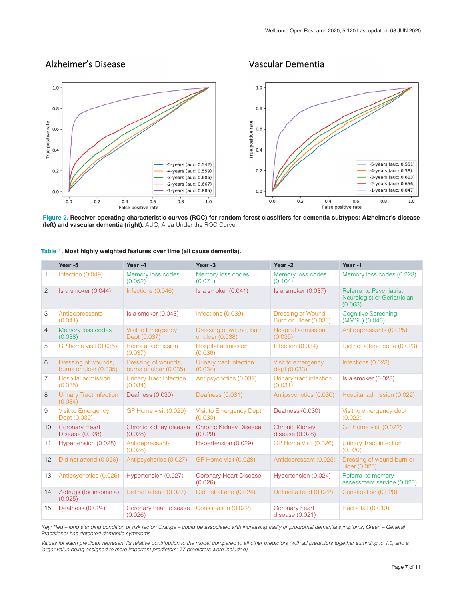### <span id="page-7-0"></span>Alzheimer's Disease

#### Vascular Dementia



**Figure 2. Receiver operating characteristic curves (ROC) for random forest classifiers for dementia subtypes: Alzheimer's disease (left) and vascular dementia (right).** AUC, Area Under the ROC Curve.

|                | Year -5                                       | Year-4                                        | Year -3                                     | Year-2                                            | Year-1                                                                    |
|----------------|-----------------------------------------------|-----------------------------------------------|---------------------------------------------|---------------------------------------------------|---------------------------------------------------------------------------|
| $\mathbf{1}$   | Infection (0.049)                             | Memory loss codes<br>(0.052)                  | Memory loss codes<br>(0.071)                | Memory loss codes<br>(0.104)                      | Memory loss codes (0.223)                                                 |
| $\overline{c}$ | Is a smoker (0.044)                           | Infections (0.046)                            | Is a smoker (0.041)                         | Is a smoker (0.037)                               | <b>Referral to Psychiatrist</b><br>Neurologist or Geriatrician<br>(0.063) |
| 3              | Antidepressants<br>(0.041)                    | Is a smoker (0.043)                           | Infections (0.039)                          | <b>Dressing of Wound</b><br>Burn or Ulcer (0.035) | <b>Cognitive Screening</b><br>(MMSE) (0.040)                              |
| $\overline{4}$ | Memory loss codes<br>(0.038)                  | <b>Visit to Emergency</b><br>Dept (0.037)     | Dressing of wound, burn<br>or ulcer (0.038) | Hospital admission<br>(0.035)                     | Antidepressants (0.025)                                                   |
| 5              | GP home visit (0.035)                         | <b>Hospital admission</b><br>(0.037)          | Hospital admission<br>(0.036)               | Infection (0.034)                                 | Did not attend code (0.023)                                               |
| 6              | Dressing of wounds,<br>burns or ulcer (0.035) | Dressing of wounds,<br>burns or ulcer (0.035) | Urinary tract infection<br>(0.034)          | Visit to emergency<br>dept (0.033)                | Infections (0.023)                                                        |
| $\overline{7}$ | Hospital admission<br>(0.035)                 | <b>Urinary Tract Infection</b><br>(0.034)     | Antipsychotics (0.032)                      | Urinary tract infection<br>(0.031)                | Is a smoker (0.023)                                                       |
| 8              | <b>Urinary Tract Infection</b><br>(0.034)     | Deafness (0.030)                              | Deafness (0.031)                            | Antipsychotics (0.030)                            | Hospital admission (0.022)                                                |
| 9              | Visit to Emergency<br>Dept (0.032)            | GP Home visit (0.029)                         | Visit to Emergency Dept<br>(0.030)          | Deafness (0.030)                                  | Visit to emergency dept<br>(0.022)                                        |
| 10             | <b>Coronary Heart</b><br>Disease (0.028)      | Chronic kidney disease<br>(0.028)             | <b>Chronic Kidney Disease</b><br>(0.029)    | <b>Chronic Kidney</b><br>disease (0.028)          | GP Home visit (0.022)                                                     |
| 11             | Hypertension (0.028)                          | Antidepressants<br>(0.028)                    | Hypertension (0.029)                        | GP Home Visit (0.026)                             | <b>Urinary Tract infection</b><br>(0.020)                                 |
| 12             | Did not attend (0.026)                        | Antipsychotics (0.027)                        | GP Home visit (0.028)                       | Antidepressant (0.025)                            | Dressing of wound burn or<br>ulcer (0.020)                                |
| 13             | Antipsychotics (0.026)                        | Hypertension (0.027)                          | <b>Coronary Heart Disease</b><br>(0.026)    | Hypertension (0.024)                              | Referral to memory<br>assessment service (0.020)                          |
| 14             | Z-drugs (for insomnia)<br>(0.025)             | Did not attend (0.027)                        | Did not attend (0.024)                      | Did not attend (0.022)                            | Constipation (0.020)                                                      |
| 15             | Deafness (0.024)                              | Coronary heart disease<br>(0.026)             | Constipation (0.022)                        | Coronary heart<br>disease (0.021)                 | Had a fall (0.019)                                                        |

**Table 1. Most highly weighted features over time (all cause dementia).**

*Key: Red – long standing condition or risk factor; Orange – could be associated with increasing frailty or prodromal dementia symptoms; Green – General Practitioner has detected dementia symptoms.*

Values for each predictor represent its relative contribution to the model compared to all other predictors (with all predictors together summing to 1.0, and a *larger value being assigned to more important predictors; 77 predictors were included)*.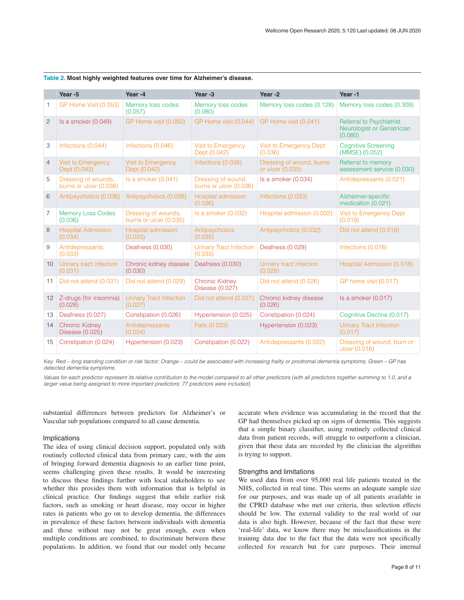|                   | Year -5                                       | Year-4                                        | Year -3                                      | Year-2                                       | Year-1                                                                    |
|-------------------|-----------------------------------------------|-----------------------------------------------|----------------------------------------------|----------------------------------------------|---------------------------------------------------------------------------|
| 1                 | GP Home Visit (0.053)                         | Memory loss codes<br>(0.057)                  | Memory loss codes<br>(0.080)                 | Memory loss codes (0.128)                    | Memory loss codes (0.309)                                                 |
| $\overline{c}$    | Is a smoker (0.049)                           | GP Home visit (0.050)                         | GP Home visit (0.044)                        | GP Home visit (0.041)                        | <b>Referral to Psychiatrist</b><br>Neurologist or Geriatrician<br>(0.080) |
| 3                 | Infections (0.044)                            | Infections (0.046)                            | <b>Visit to Emergency</b><br>Dept (0.042)    | Visit to Emergency Dept<br>(0.036)           | <b>Cognitive Screening</b><br>(MMSE) (0.052)                              |
| $\overline{4}$    | Visit to Emergency<br>Dept (0.043)            | <b>Visit to Emergency</b><br>Dept (0.042)     | Infections (0.038)                           | Dressing of wound, burns<br>or ulcer (0.035) | Referral to memory<br>assessment service (0.030)                          |
| 5                 | Dressing of wounds,<br>burns or ulcer (0.038) | Is a smoker $(0.041)$                         | Dressing of wound.<br>burns or ulcer (0.036) | Is a smoker (0.034)                          | Antidepressants (0.021)                                                   |
| 6                 | Antipsychotics (0.038)                        | Antipsychotics (0.038)                        | Hospital admission<br>(0.036)                | Infections (0.033)                           | Alzheimer-specific<br>medication (0.021)                                  |
| $\overline{7}$    | <b>Memory Loss Codes</b><br>(0.036)           | Dressing of wounds,<br>burns or ulcer (0.035) | Is a smoker (0.032)                          | Hospital admission (0.032)                   | Visit to Emergency Dept<br>(0.019)                                        |
| 8                 | <b>Hospital Admission</b><br>(0.034)          | Hospital admission<br>(0.033)                 | Antipsychotics<br>(0.035)                    | Antipsychotics (0.032)                       | Did not attend (0.019)                                                    |
| 9                 | Antidepressants<br>(0.033)                    | Deafness (0.030)                              | <b>Urinary Tract Infection</b><br>(0.033)    | Deafness (0.029)                             | Infections (0.018)                                                        |
| 10                | Urinary tract infection<br>(0.031)            | Chronic kidney disease<br>(0.030)             | Deafness (0.030)                             | Urinary tract infection<br>(0.028)           | Hospital Admission (0.018)                                                |
| 11                | Did not attend (0.031)                        | Did not attend (0.029)                        | <b>Chronic Kidney</b><br>Disease (0.027)     | Did not attend (0.026)                       | GP home visit (0.017)                                                     |
| $12 \overline{ }$ | Z-drugs (for insomnia)<br>(0.028)             | <b>Urinary Tract Infection</b><br>(0.027)     | Did not attend (0.027)                       | Chronic kidney disease<br>(0.026)            | Is a smoker (0.017)                                                       |
| 13                | Deafness (0.027)                              | Constipation (0.026)                          | Hypertension (0.025)                         | Constipation (0.024)                         | Cognitive Decline (0.017)                                                 |
| 14                | <b>Chronic Kidney</b><br>Disease (0.025)      | Antidepressants<br>(0.024)                    | Falls (0.023)                                | Hypertension (0.023)                         | <b>Urinary Tract Infection</b><br>(0.017)                                 |
| 15                | Constipation (0.024)                          | Hypertension (0.023)                          | Constipation (0.022)                         | Antidepressants (0.022)                      | Dressing of wound, burn or<br>ulcer (0.016)                               |

<span id="page-8-0"></span>**Table 2. Most highly weighted features over time for Alzheimer's disease.**

*Key: Red – long standing condition or risk factor; Orange – could be associated with increasing frailty or prodromal dementia symptoms; Green – GP has detected dementia symptoms.*

Values for each predictor represent its relative contribution to the model compared to all other predictors (with all predictors together summing to 1.0, and a *larger value being assigned to more important predictors; 77 predictors were included).*

substantial differences between predictors for Alzheimer's or Vascular sub populations compared to all cause dementia.

#### Implications

The idea of using clinical decision support, populated only with routinely collected clinical data from primary care, with the aim of bringing forward dementia diagnosis to an earlier time point, seems challenging given these results. It would be interesting to discuss these findings further with local stakeholders to see whether this provides them with information that is helpful in clinical practice. Our findings suggest that while earlier risk factors, such as smoking or heart disease, may occur in higher rates in patients who go on to develop dementia, the differences in prevalence of these factors between individuals with dementia and those without may not be great enough, even when multiple conditions are combined, to discriminate between these populations. In addition, we found that our model only became

accurate when evidence was accumulating in the record that the GP had themselves picked up on signs of dementia. This suggests that a simple binary classifier, using routinely collected clinical data from patient records, will struggle to outperform a clinician, given that these data are recorded by the clinician the algorithm is trying to support.

#### Strengths and limitations

We used data from over 95,000 real life patients treated in the NHS, collected in real time. This seems an adequate sample size for our purposes, and was made up of all patients available in the CPRD database who met our criteria, thus selection effects should be low. The external validity to the real world of our data is also high. However, because of the fact that these were 'real-life' data, we know there may be misclassifications in the training data due to the fact that the data were not specifically collected for research but for care purposes. Their internal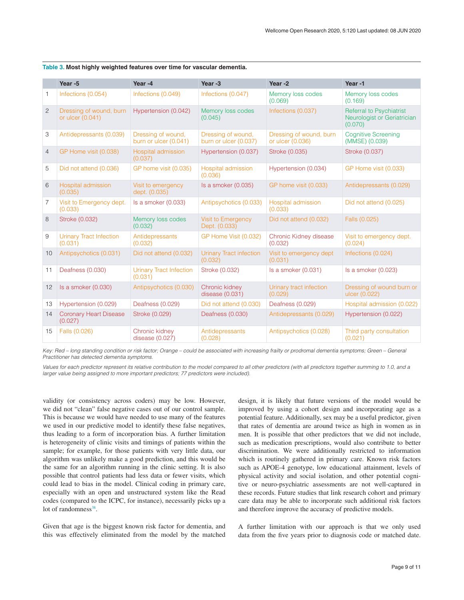|                | Year -5                                     | Year-4                                      | Year -3                                     | Year-2                                      | Year-1                                                                    |
|----------------|---------------------------------------------|---------------------------------------------|---------------------------------------------|---------------------------------------------|---------------------------------------------------------------------------|
| 1              | Infections (0.054)                          | Infections (0.049)                          | Infections (0.047)                          | Memory loss codes<br>(0.069)                | Memory loss codes<br>(0.169)                                              |
| $\overline{2}$ | Dressing of wound, burn<br>or ulcer (0.041) | Hypertension (0.042)                        | Memory loss codes<br>(0.045)                | Infections (0.037)                          | <b>Referral to Psychiatrist</b><br>Neurologist or Geriatrician<br>(0.070) |
| 3              | Antidepressants (0.039)                     | Dressing of wound,<br>burn or ulcer (0.041) | Dressing of wound,<br>burn or ulcer (0.037) | Dressing of wound, burn<br>or ulcer (0.036) | <b>Cognitive Screening</b><br>(MMSE) (0.039)                              |
| $\overline{4}$ | GP Home visit (0.038)                       | Hospital admission<br>(0.037)               | Hypertension (0.037)                        | Stroke (0.035)                              | Stroke (0.037)                                                            |
| 5              | Did not attend (0.036)                      | GP home visit (0.035)                       | Hospital admission<br>(0.036)               | Hypertension (0.034)                        | GP Home visit (0.033)                                                     |
| 6              | Hospital admission<br>(0.035)               | Visit to emergency<br>dept. (0.035)         | Is a smoker (0.035)                         | GP home visit (0.033)                       | Antidepressants (0.029)                                                   |
| 7              | Visit to Emergency dept.<br>(0.033)         | Is a smoker (0.033)                         | Antipsychotics (0.033)                      | Hospital admission<br>(0.033)               | Did not attend (0.025)                                                    |
| 8              | Stroke (0.032)                              | Memory loss codes<br>(0.032)                | <b>Visit to Emergency</b><br>Dept. (0.033)  | Did not attend (0.032)                      | Falls (0.025)                                                             |
| 9              | <b>Urinary Tract Infection</b><br>(0.031)   | Antidepressants<br>(0.032)                  | GP Home Visit (0.032)                       | Chronic Kidney disease<br>(0.032)           | Visit to emergency dept.<br>(0.024)                                       |
| 10             | Antipsychotics (0.031)                      | Did not attend (0.032)                      | <b>Urinary Tract infection</b><br>(0.032)   | Visit to emergency dept<br>(0.031)          | Infections (0.024)                                                        |
| 11             | Deafness (0.030)                            | <b>Urinary Tract Infection</b><br>(0.031)   | Stroke (0.032)                              | Is a smoker (0.031)                         | Is a smoker (0.023)                                                       |
| 12             | Is a smoker (0.030)                         | Antipsychotics (0.030)                      | Chronic kidney<br>disease $(0.031)$         | Urinary tract infection<br>(0.029)          | Dressing of wound burn or<br>ulcer (0.022)                                |
| 13             | Hypertension (0.029)                        | Deafness (0.029)                            | Did not attend (0.030)                      | Deafness (0.029)                            | Hospital admission (0.022)                                                |
| 14             | <b>Coronary Heart Disease</b><br>(0.027)    | Stroke (0.029)                              | Deafness (0.030)                            | Antidepressants (0.029)                     | Hypertension (0.022)                                                      |
| 15             | Falls (0.026)                               | Chronic kidney<br>disease $(0.027)$         | Antidepressants<br>(0.028)                  | Antipsychotics (0.028)                      | Third party consultation<br>(0.021)                                       |

<span id="page-9-0"></span>

| Table 3. Most highly weighted features over time for vascular dementia. |  |  |  |
|-------------------------------------------------------------------------|--|--|--|
|                                                                         |  |  |  |

*Key: Red – long standing condition or risk factor; Orange – could be associated with increasing frailty or prodromal dementia symptoms; Green – General Practitioner has detected dementia symptoms.*

Values for each predictor represent its relative contribution to the model compared to all other predictors (with all predictors together summing to 1.0, and a *larger value being assigned to more important predictors; 77 predictors were included).*

validity (or consistency across coders) may be low. However, we did not "clean" false negative cases out of our control sample. This is because we would have needed to use many of the features we used in our predictive model to identify these false negatives, thus leading to a form of incorporation bias. A further limitation is heterogeneity of clinic visits and timings of patients within the sample; for example, for those patients with very little data, our algorithm was unlikely make a good prediction, and this would be the same for an algorithm running in the clinic setting. It is also possible that control patients had less data or fewer visits, which could lead to bias in the model. Clinical coding in primary care, especially with an open and unstructured system like the Read codes (compared to the ICPC, for instance), necessarily picks up a lot of randomness<sup>38</sup>.

Given that age is the biggest known risk factor for dementia, and this was effectively eliminated from the model by the matched

design, it is likely that future versions of the model would be improved by using a cohort design and incorporating age as a potential feature. Additionally, sex may be a useful predictor, given that rates of dementia are around twice as high in women as in men. It is possible that other predictors that we did not include, such as medication prescriptions, would also contribute to better discrimination. We were additionally restricted to information which is routinely gathered in primary care. Known risk factors such as APOE-4 genotype, low educational attainment, levels of physical activity and social isolation, and other potential cognitive or neuro-psychiatric assessments are not well-captured in these records. Future studies that link research cohort and primary care data may be able to incorporate such additional risk factors and therefore improve the accuracy of predictive models.

A further limitation with our approach is that we only used data from the five years prior to diagnosis code or matched date.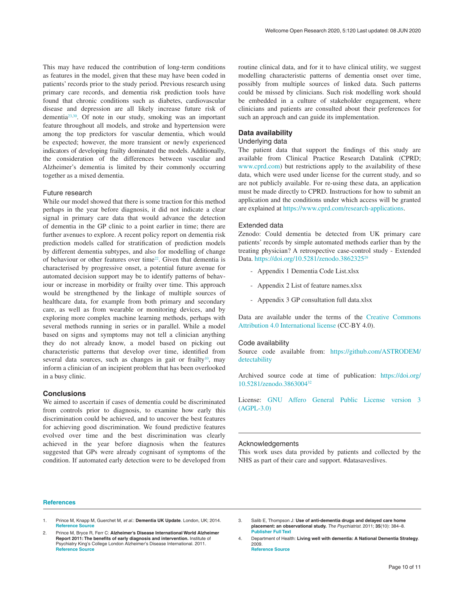<span id="page-10-0"></span>This may have reduced the contribution of long-term conditions as features in the model, given that these may have been coded in patients' records prior to the study period. Previous research using primary care records, and dementia risk prediction tools have found that chronic conditions such as diabetes, cardiovascular disease and depression are all likely increase future risk of dementia[23,30](#page-11-0). Of note in our study, smoking was an important feature throughout all models, and stroke and hypertension were among the top predictors for vascular dementia, which would be expected; however, the more transient or newly experienced indicators of developing frailty dominated the models. Additionally, the consideration of the differences between vascular and Alzheimer's dementia is limited by their commonly occurring together as a mixed dementia.

#### Future research

While our model showed that there is some traction for this method perhaps in the year before diagnosis, it did not indicate a clear signal in primary care data that would advance the detection of dementia in the GP clinic to a point earlier in time; there are further avenues to explore. A recent policy report on dementia risk prediction models called for stratification of prediction models by different dementia subtypes, and also for modelling of change of behaviour or other features over tim[e22](#page-11-0). Given that dementia is characterised by progressive onset, a potential future avenue for automated decision support may be to identify patterns of behaviour or increase in morbidity or frailty over time. This approach would be strengthened by the linkage of multiple sources of healthcare data, for example from both primary and secondary care, as well as from wearable or monitoring devices, and by exploring more complex machine learning methods, perhaps with several methods running in series or in parallel. While a model based on signs and symptoms may not tell a clinician anything they do not already know, a model based on picking out characteristic patterns that develop over time, identified from several data sources, such as changes in gait or frailty<sup>10</sup>, may inform a clinician of an incipient problem that has been overlooked in a busy clinic.

#### **Conclusions**

We aimed to ascertain if cases of dementia could be discriminated from controls prior to diagnosis, to examine how early this discrimination could be achieved, and to uncover the best features for achieving good discrimination. We found predictive features evolved over time and the best discrimination was clearly achieved in the year before diagnosis when the features suggested that GPs were already cognisant of symptoms of the condition. If automated early detection were to be developed from

routine clinical data, and for it to have clinical utility, we suggest modelling characteristic patterns of dementia onset over time, possibly from multiple sources of linked data. Such patterns could be missed by clinicians. Such risk modelling work should be embedded in a culture of stakeholder engagement, where clinicians and patients are consulted about their preferences for such an approach and can guide its implementation.

#### **Data availability**

#### Underlying data

The patient data that support the findings of this study are available from Clinical Practice Research Datalink (CPRD; [www.cprd.com\)](http://www.cprd.com/) but restrictions apply to the availability of these data, which were used under license for the current study, and so are not publicly available. For re-using these data, an application must be made directly to CPRD. Instructions for how to submit an application and the conditions under which access will be granted are explained at [https://www.cprd.com/research-applications.](https://www.cprd.com/research-applications)

#### Extended data

Zenodo: Could dementia be detected from UK primary care patients' records by simple automated methods earlier than by the treating physician? A retrospective case-control study - Extended Data. [https://doi.org/10.5281/zenodo.3862325](http://dx.doi.org/10.5281/zenodo.3862325)[29](#page-11-0)

- Appendix 1 Dementia Code List.xlsx
- Appendix 2 List of feature names.xlsx
- Appendix 3 GP consultation full data.xlsx

Data are available under the terms of the [Creative Commons](https://creativecommons.org/licenses/by/4.0/legalcode)  [Attribution 4.0 International license](https://creativecommons.org/licenses/by/4.0/legalcode) (CC-BY 4.0).

#### Code availability

Source code available from: [https://github.com/ASTRODEM/](https://github.com/ASTRODEM/detectability) [detectability](https://github.com/ASTRODEM/detectability)

Archived source code at time of publication: [https://doi.org/](https://doi.org/10.5281/zenodo.3863004) [10.5281/zenodo.3863004](https://doi.org/10.5281/zenodo.3863004)[32](#page-11-0)

License: [GNU Affero General Public License version 3](https://opensource.org/licenses/AGPL-3.0)  [\(AGPL-3.0\)](https://opensource.org/licenses/AGPL-3.0)

#### Acknowledgements

This work uses data provided by patients and collected by the NHS as part of their care and support. #datasaveslives.

#### **References**

- 1. Prince M, Knapp M, Guerchet M, *et al.*: **Dementia UK Update**. London, UK; 2014. **[Reference Source](https://www.alzheimers.org.uk/sites/default/files/migrate/downloads/dementia_uk_update.pdf)**
- 2. Prince M, Bryce R, Ferr C: **Alzheimer's Disease International World Alzheimer Report 2011: The benefits of early diagnosis and intervention.** Institute of Psychiatry King's College London Alzheimer's Disease International*.* 2011. **[Reference Source](https://www.alz.co.uk/research/world-report-2011)**
- 3. Salib E, Thompson J: **Use of anti-dementia drugs and delayed care home placement: an observational study.** *The Psychiatrist.* 2011; **35**(10): 384–8. **[Publisher Full Text](http://dx.doi.org/10.1192/pb.bp.110.033431)**
- 4. Department of Health: **Living well with dementia: A National Dementia Strategy**. 2009. **[Reference Source](https://www.gov.uk/government/uploads/system/uploads/attachment_data/file/168220/dh_094051.pdf)**